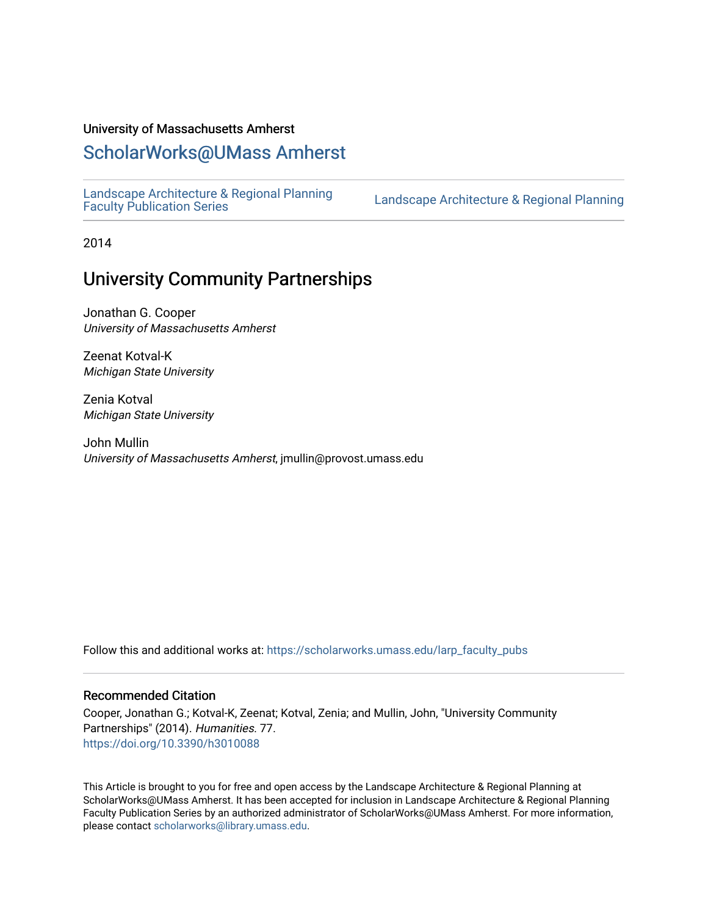#### University of Massachusetts Amherst

### [ScholarWorks@UMass Amherst](https://scholarworks.umass.edu/)

[Landscape Architecture & Regional Planning](https://scholarworks.umass.edu/larp_faculty_pubs) 

Landscape Architecture & Regional Planning

2014

## University Community Partnerships

Jonathan G. Cooper University of Massachusetts Amherst

Zeenat Kotval-K Michigan State University

Zenia Kotval Michigan State University

John Mullin University of Massachusetts Amherst, jmullin@provost.umass.edu

Follow this and additional works at: [https://scholarworks.umass.edu/larp\\_faculty\\_pubs](https://scholarworks.umass.edu/larp_faculty_pubs?utm_source=scholarworks.umass.edu%2Flarp_faculty_pubs%2F77&utm_medium=PDF&utm_campaign=PDFCoverPages) 

#### Recommended Citation

Cooper, Jonathan G.; Kotval-K, Zeenat; Kotval, Zenia; and Mullin, John, "University Community Partnerships" (2014). Humanities. 77. <https://doi.org/10.3390/h3010088>

This Article is brought to you for free and open access by the Landscape Architecture & Regional Planning at ScholarWorks@UMass Amherst. It has been accepted for inclusion in Landscape Architecture & Regional Planning Faculty Publication Series by an authorized administrator of ScholarWorks@UMass Amherst. For more information, please contact [scholarworks@library.umass.edu.](mailto:scholarworks@library.umass.edu)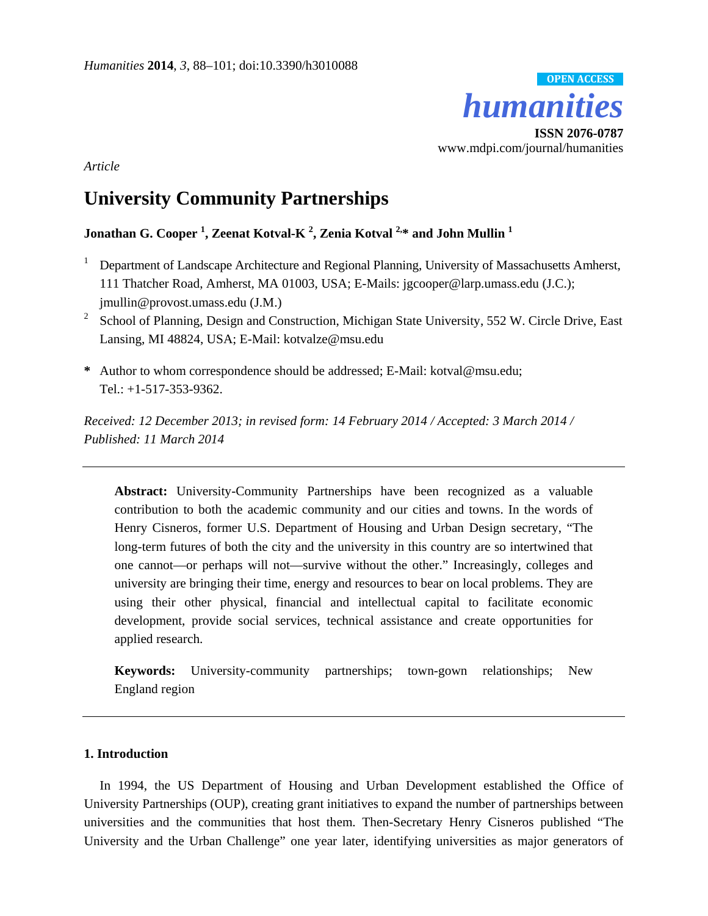

*Article* 

# **University Community Partnerships**

### **Jonathan G. Cooper 1 , Zeenat Kotval-K 2 , Zenia Kotval 2,\* and John Mullin 1**

- 1 Department of Landscape Architecture and Regional Planning, University of Massachusetts Amherst, 111 Thatcher Road, Amherst, MA 01003, USA; E-Mails: jgcooper@larp.umass.edu (J.C.); jmullin@provost.umass.edu (J.M.)
- 2 School of Planning, Design and Construction, Michigan State University, 552 W. Circle Drive, East Lansing, MI 48824, USA; E-Mail: kotvalze@msu.edu
- **\*** Author to whom correspondence should be addressed; E-Mail: kotval@msu.edu; Tel.: +1-517-353-9362.

*Received: 12 December 2013; in revised form: 14 February 2014 / Accepted: 3 March 2014 / Published: 11 March 2014* 

**Abstract:** University-Community Partnerships have been recognized as a valuable contribution to both the academic community and our cities and towns. In the words of Henry Cisneros, former U.S. Department of Housing and Urban Design secretary, "The long-term futures of both the city and the university in this country are so intertwined that one cannot—or perhaps will not—survive without the other." Increasingly, colleges and university are bringing their time, energy and resources to bear on local problems. They are using their other physical, financial and intellectual capital to facilitate economic development, provide social services, technical assistance and create opportunities for applied research.

**Keywords:** University-community partnerships; town-gown relationships; New England region

#### **1. Introduction**

In 1994, the US Department of Housing and Urban Development established the Office of University Partnerships (OUP), creating grant initiatives to expand the number of partnerships between universities and the communities that host them. Then-Secretary Henry Cisneros published "The University and the Urban Challenge" one year later, identifying universities as major generators of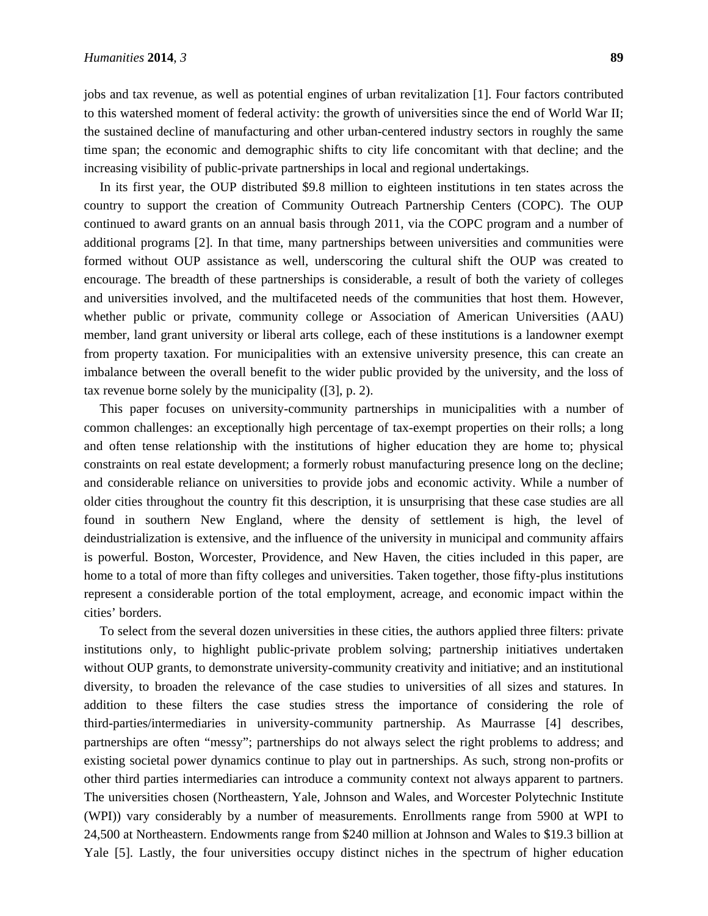jobs and tax revenue, as well as potential engines of urban revitalization [1]. Four factors contributed to this watershed moment of federal activity: the growth of universities since the end of World War II; the sustained decline of manufacturing and other urban-centered industry sectors in roughly the same time span; the economic and demographic shifts to city life concomitant with that decline; and the increasing visibility of public-private partnerships in local and regional undertakings.

In its first year, the OUP distributed \$9.8 million to eighteen institutions in ten states across the country to support the creation of Community Outreach Partnership Centers (COPC). The OUP continued to award grants on an annual basis through 2011, via the COPC program and a number of additional programs [2]. In that time, many partnerships between universities and communities were formed without OUP assistance as well, underscoring the cultural shift the OUP was created to encourage. The breadth of these partnerships is considerable, a result of both the variety of colleges and universities involved, and the multifaceted needs of the communities that host them. However, whether public or private, community college or Association of American Universities (AAU) member, land grant university or liberal arts college, each of these institutions is a landowner exempt from property taxation. For municipalities with an extensive university presence, this can create an imbalance between the overall benefit to the wider public provided by the university, and the loss of tax revenue borne solely by the municipality ([3], p. 2).

This paper focuses on university-community partnerships in municipalities with a number of common challenges: an exceptionally high percentage of tax-exempt properties on their rolls; a long and often tense relationship with the institutions of higher education they are home to; physical constraints on real estate development; a formerly robust manufacturing presence long on the decline; and considerable reliance on universities to provide jobs and economic activity. While a number of older cities throughout the country fit this description, it is unsurprising that these case studies are all found in southern New England, where the density of settlement is high, the level of deindustrialization is extensive, and the influence of the university in municipal and community affairs is powerful. Boston, Worcester, Providence, and New Haven, the cities included in this paper, are home to a total of more than fifty colleges and universities. Taken together, those fifty-plus institutions represent a considerable portion of the total employment, acreage, and economic impact within the cities' borders.

To select from the several dozen universities in these cities, the authors applied three filters: private institutions only, to highlight public-private problem solving; partnership initiatives undertaken without OUP grants, to demonstrate university-community creativity and initiative; and an institutional diversity, to broaden the relevance of the case studies to universities of all sizes and statures. In addition to these filters the case studies stress the importance of considering the role of third-parties/intermediaries in university-community partnership. As Maurrasse [4] describes, partnerships are often "messy"; partnerships do not always select the right problems to address; and existing societal power dynamics continue to play out in partnerships. As such, strong non-profits or other third parties intermediaries can introduce a community context not always apparent to partners. The universities chosen (Northeastern, Yale, Johnson and Wales, and Worcester Polytechnic Institute (WPI)) vary considerably by a number of measurements. Enrollments range from 5900 at WPI to 24,500 at Northeastern. Endowments range from \$240 million at Johnson and Wales to \$19.3 billion at Yale [5]. Lastly, the four universities occupy distinct niches in the spectrum of higher education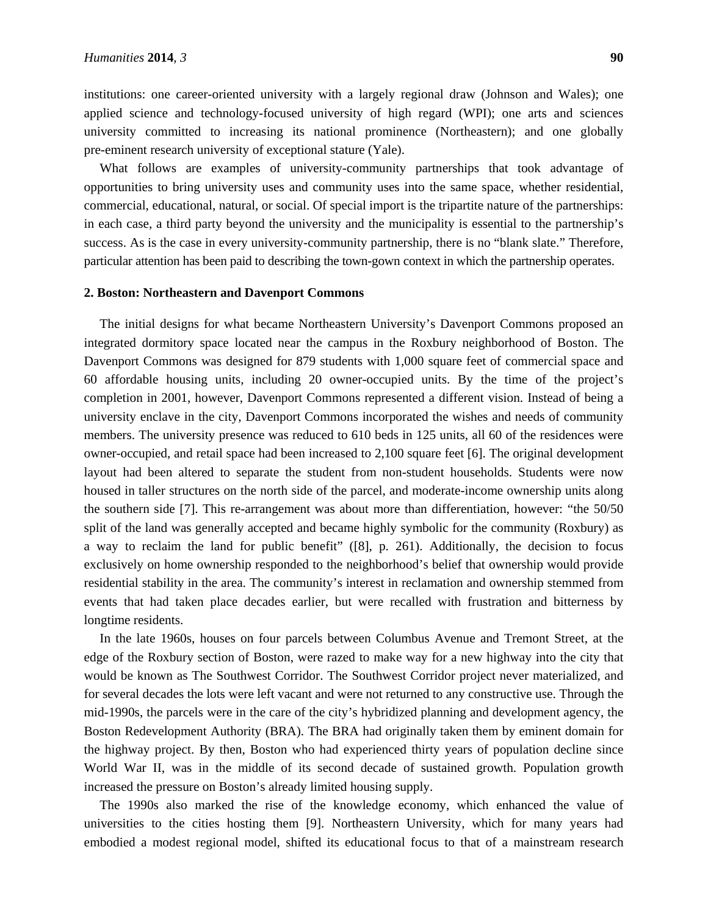institutions: one career-oriented university with a largely regional draw (Johnson and Wales); one applied science and technology-focused university of high regard (WPI); one arts and sciences university committed to increasing its national prominence (Northeastern); and one globally pre-eminent research university of exceptional stature (Yale).

What follows are examples of university-community partnerships that took advantage of opportunities to bring university uses and community uses into the same space, whether residential, commercial, educational, natural, or social. Of special import is the tripartite nature of the partnerships: in each case, a third party beyond the university and the municipality is essential to the partnership's success. As is the case in every university-community partnership, there is no "blank slate." Therefore, particular attention has been paid to describing the town-gown context in which the partnership operates.

#### **2. Boston: Northeastern and Davenport Commons**

The initial designs for what became Northeastern University's Davenport Commons proposed an integrated dormitory space located near the campus in the Roxbury neighborhood of Boston. The Davenport Commons was designed for 879 students with 1,000 square feet of commercial space and 60 affordable housing units, including 20 owner-occupied units. By the time of the project's completion in 2001, however, Davenport Commons represented a different vision. Instead of being a university enclave in the city, Davenport Commons incorporated the wishes and needs of community members. The university presence was reduced to 610 beds in 125 units, all 60 of the residences were owner-occupied, and retail space had been increased to 2,100 square feet [6]. The original development layout had been altered to separate the student from non-student households. Students were now housed in taller structures on the north side of the parcel, and moderate-income ownership units along the southern side [7]. This re-arrangement was about more than differentiation, however: "the 50/50 split of the land was generally accepted and became highly symbolic for the community (Roxbury) as a way to reclaim the land for public benefit" ([8], p. 261). Additionally, the decision to focus exclusively on home ownership responded to the neighborhood's belief that ownership would provide residential stability in the area. The community's interest in reclamation and ownership stemmed from events that had taken place decades earlier, but were recalled with frustration and bitterness by longtime residents.

In the late 1960s, houses on four parcels between Columbus Avenue and Tremont Street, at the edge of the Roxbury section of Boston, were razed to make way for a new highway into the city that would be known as The Southwest Corridor. The Southwest Corridor project never materialized, and for several decades the lots were left vacant and were not returned to any constructive use. Through the mid-1990s, the parcels were in the care of the city's hybridized planning and development agency, the Boston Redevelopment Authority (BRA). The BRA had originally taken them by eminent domain for the highway project. By then, Boston who had experienced thirty years of population decline since World War II, was in the middle of its second decade of sustained growth. Population growth increased the pressure on Boston's already limited housing supply.

The 1990s also marked the rise of the knowledge economy, which enhanced the value of universities to the cities hosting them [9]. Northeastern University, which for many years had embodied a modest regional model, shifted its educational focus to that of a mainstream research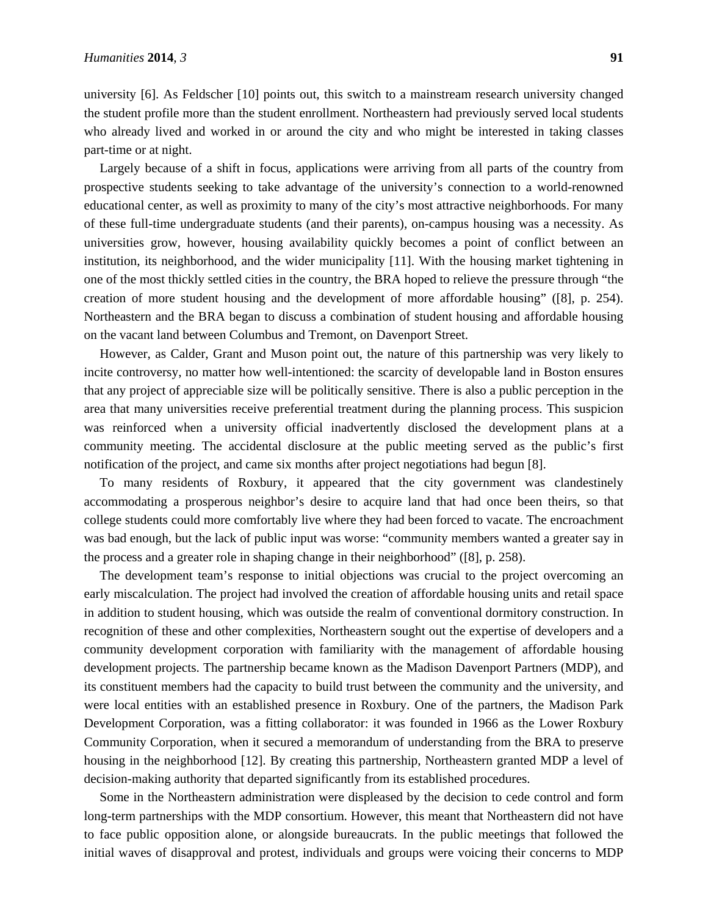university [6]. As Feldscher [10] points out, this switch to a mainstream research university changed the student profile more than the student enrollment. Northeastern had previously served local students who already lived and worked in or around the city and who might be interested in taking classes part-time or at night.

Largely because of a shift in focus, applications were arriving from all parts of the country from prospective students seeking to take advantage of the university's connection to a world-renowned educational center, as well as proximity to many of the city's most attractive neighborhoods. For many of these full-time undergraduate students (and their parents), on-campus housing was a necessity. As universities grow, however, housing availability quickly becomes a point of conflict between an institution, its neighborhood, and the wider municipality [11]. With the housing market tightening in one of the most thickly settled cities in the country, the BRA hoped to relieve the pressure through "the creation of more student housing and the development of more affordable housing" ([8], p. 254). Northeastern and the BRA began to discuss a combination of student housing and affordable housing on the vacant land between Columbus and Tremont, on Davenport Street.

However, as Calder, Grant and Muson point out, the nature of this partnership was very likely to incite controversy, no matter how well-intentioned: the scarcity of developable land in Boston ensures that any project of appreciable size will be politically sensitive. There is also a public perception in the area that many universities receive preferential treatment during the planning process. This suspicion was reinforced when a university official inadvertently disclosed the development plans at a community meeting. The accidental disclosure at the public meeting served as the public's first notification of the project, and came six months after project negotiations had begun [8].

To many residents of Roxbury, it appeared that the city government was clandestinely accommodating a prosperous neighbor's desire to acquire land that had once been theirs, so that college students could more comfortably live where they had been forced to vacate. The encroachment was bad enough, but the lack of public input was worse: "community members wanted a greater say in the process and a greater role in shaping change in their neighborhood" ([8], p. 258).

The development team's response to initial objections was crucial to the project overcoming an early miscalculation. The project had involved the creation of affordable housing units and retail space in addition to student housing, which was outside the realm of conventional dormitory construction. In recognition of these and other complexities, Northeastern sought out the expertise of developers and a community development corporation with familiarity with the management of affordable housing development projects. The partnership became known as the Madison Davenport Partners (MDP), and its constituent members had the capacity to build trust between the community and the university, and were local entities with an established presence in Roxbury. One of the partners, the Madison Park Development Corporation, was a fitting collaborator: it was founded in 1966 as the Lower Roxbury Community Corporation, when it secured a memorandum of understanding from the BRA to preserve housing in the neighborhood [12]. By creating this partnership, Northeastern granted MDP a level of decision-making authority that departed significantly from its established procedures.

Some in the Northeastern administration were displeased by the decision to cede control and form long-term partnerships with the MDP consortium. However, this meant that Northeastern did not have to face public opposition alone, or alongside bureaucrats. In the public meetings that followed the initial waves of disapproval and protest, individuals and groups were voicing their concerns to MDP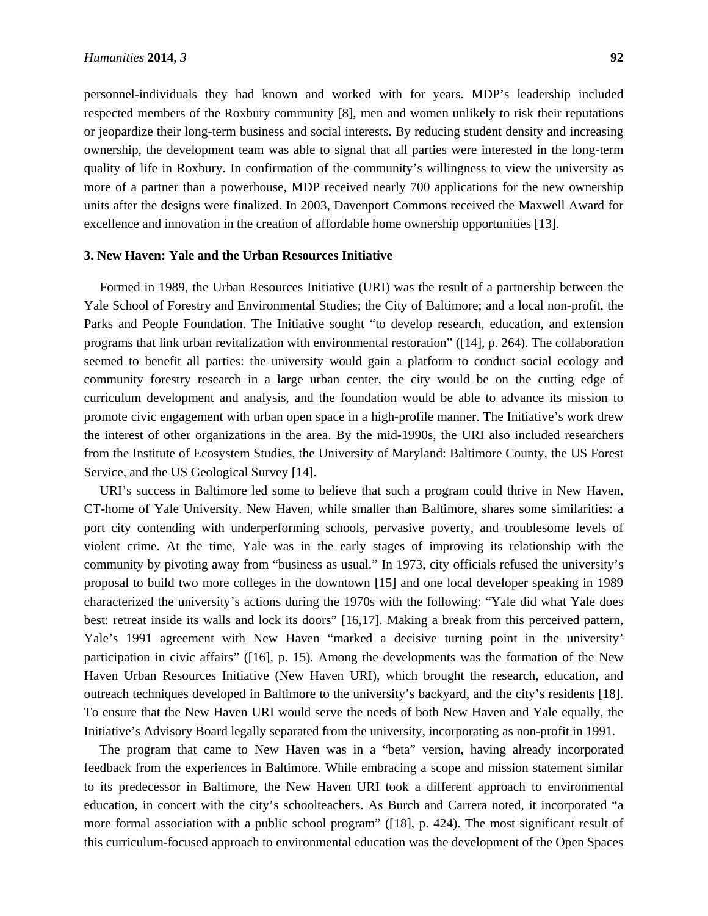personnel-individuals they had known and worked with for years. MDP's leadership included respected members of the Roxbury community [8], men and women unlikely to risk their reputations or jeopardize their long-term business and social interests. By reducing student density and increasing ownership, the development team was able to signal that all parties were interested in the long-term quality of life in Roxbury. In confirmation of the community's willingness to view the university as more of a partner than a powerhouse, MDP received nearly 700 applications for the new ownership units after the designs were finalized. In 2003, Davenport Commons received the Maxwell Award for excellence and innovation in the creation of affordable home ownership opportunities [13].

#### **3. New Haven: Yale and the Urban Resources Initiative**

Formed in 1989, the Urban Resources Initiative (URI) was the result of a partnership between the Yale School of Forestry and Environmental Studies; the City of Baltimore; and a local non-profit, the Parks and People Foundation. The Initiative sought "to develop research, education, and extension programs that link urban revitalization with environmental restoration" ([14], p. 264). The collaboration seemed to benefit all parties: the university would gain a platform to conduct social ecology and community forestry research in a large urban center, the city would be on the cutting edge of curriculum development and analysis, and the foundation would be able to advance its mission to promote civic engagement with urban open space in a high-profile manner. The Initiative's work drew the interest of other organizations in the area. By the mid-1990s, the URI also included researchers from the Institute of Ecosystem Studies, the University of Maryland: Baltimore County, the US Forest Service, and the US Geological Survey [14].

URI's success in Baltimore led some to believe that such a program could thrive in New Haven, CT-home of Yale University. New Haven, while smaller than Baltimore, shares some similarities: a port city contending with underperforming schools, pervasive poverty, and troublesome levels of violent crime. At the time, Yale was in the early stages of improving its relationship with the community by pivoting away from "business as usual." In 1973, city officials refused the university's proposal to build two more colleges in the downtown [15] and one local developer speaking in 1989 characterized the university's actions during the 1970s with the following: "Yale did what Yale does best: retreat inside its walls and lock its doors" [16,17]. Making a break from this perceived pattern, Yale's 1991 agreement with New Haven "marked a decisive turning point in the university' participation in civic affairs" ([16], p. 15). Among the developments was the formation of the New Haven Urban Resources Initiative (New Haven URI), which brought the research, education, and outreach techniques developed in Baltimore to the university's backyard, and the city's residents [18]. To ensure that the New Haven URI would serve the needs of both New Haven and Yale equally, the Initiative's Advisory Board legally separated from the university, incorporating as non-profit in 1991.

The program that came to New Haven was in a "beta" version, having already incorporated feedback from the experiences in Baltimore. While embracing a scope and mission statement similar to its predecessor in Baltimore, the New Haven URI took a different approach to environmental education, in concert with the city's schoolteachers. As Burch and Carrera noted, it incorporated "a more formal association with a public school program" ([18], p. 424). The most significant result of this curriculum-focused approach to environmental education was the development of the Open Spaces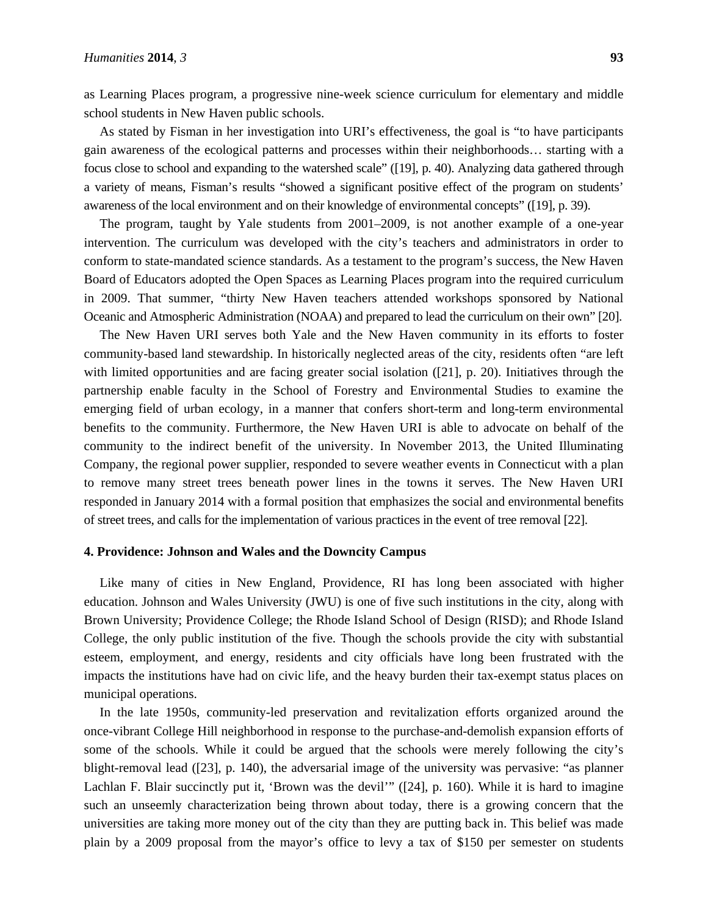as Learning Places program, a progressive nine-week science curriculum for elementary and middle school students in New Haven public schools.

As stated by Fisman in her investigation into URI's effectiveness, the goal is "to have participants gain awareness of the ecological patterns and processes within their neighborhoods… starting with a focus close to school and expanding to the watershed scale" ([19], p. 40). Analyzing data gathered through a variety of means, Fisman's results "showed a significant positive effect of the program on students' awareness of the local environment and on their knowledge of environmental concepts" ([19], p. 39).

The program, taught by Yale students from 2001–2009, is not another example of a one-year intervention. The curriculum was developed with the city's teachers and administrators in order to conform to state-mandated science standards. As a testament to the program's success, the New Haven Board of Educators adopted the Open Spaces as Learning Places program into the required curriculum in 2009. That summer, "thirty New Haven teachers attended workshops sponsored by National Oceanic and Atmospheric Administration (NOAA) and prepared to lead the curriculum on their own" [20].

The New Haven URI serves both Yale and the New Haven community in its efforts to foster community-based land stewardship. In historically neglected areas of the city, residents often "are left with limited opportunities and are facing greater social isolation ([21], p. 20). Initiatives through the partnership enable faculty in the School of Forestry and Environmental Studies to examine the emerging field of urban ecology, in a manner that confers short-term and long-term environmental benefits to the community. Furthermore, the New Haven URI is able to advocate on behalf of the community to the indirect benefit of the university. In November 2013, the United Illuminating Company, the regional power supplier, responded to severe weather events in Connecticut with a plan to remove many street trees beneath power lines in the towns it serves. The New Haven URI responded in January 2014 with a formal position that emphasizes the social and environmental benefits of street trees, and calls for the implementation of various practices in the event of tree removal [22].

#### **4. Providence: Johnson and Wales and the Downcity Campus**

Like many of cities in New England, Providence, RI has long been associated with higher education. Johnson and Wales University (JWU) is one of five such institutions in the city, along with Brown University; Providence College; the Rhode Island School of Design (RISD); and Rhode Island College, the only public institution of the five. Though the schools provide the city with substantial esteem, employment, and energy, residents and city officials have long been frustrated with the impacts the institutions have had on civic life, and the heavy burden their tax-exempt status places on municipal operations.

In the late 1950s, community-led preservation and revitalization efforts organized around the once-vibrant College Hill neighborhood in response to the purchase-and-demolish expansion efforts of some of the schools. While it could be argued that the schools were merely following the city's blight-removal lead ([23], p. 140), the adversarial image of the university was pervasive: "as planner Lachlan F. Blair succinctly put it, 'Brown was the devil'" ([24], p. 160). While it is hard to imagine such an unseemly characterization being thrown about today, there is a growing concern that the universities are taking more money out of the city than they are putting back in. This belief was made plain by a 2009 proposal from the mayor's office to levy a tax of \$150 per semester on students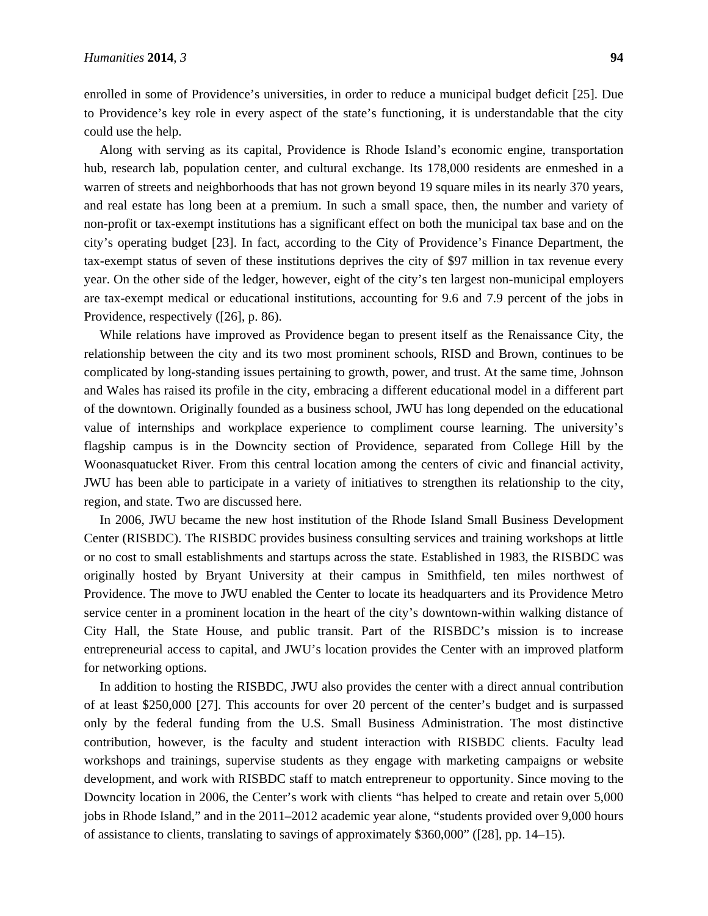enrolled in some of Providence's universities, in order to reduce a municipal budget deficit [25]. Due to Providence's key role in every aspect of the state's functioning, it is understandable that the city could use the help.

Along with serving as its capital, Providence is Rhode Island's economic engine, transportation hub, research lab, population center, and cultural exchange. Its 178,000 residents are enmeshed in a warren of streets and neighborhoods that has not grown beyond 19 square miles in its nearly 370 years, and real estate has long been at a premium. In such a small space, then, the number and variety of non-profit or tax-exempt institutions has a significant effect on both the municipal tax base and on the city's operating budget [23]. In fact, according to the City of Providence's Finance Department, the tax-exempt status of seven of these institutions deprives the city of \$97 million in tax revenue every year. On the other side of the ledger, however, eight of the city's ten largest non-municipal employers are tax-exempt medical or educational institutions, accounting for 9.6 and 7.9 percent of the jobs in Providence, respectively ([26], p. 86).

While relations have improved as Providence began to present itself as the Renaissance City, the relationship between the city and its two most prominent schools, RISD and Brown, continues to be complicated by long-standing issues pertaining to growth, power, and trust. At the same time, Johnson and Wales has raised its profile in the city, embracing a different educational model in a different part of the downtown. Originally founded as a business school, JWU has long depended on the educational value of internships and workplace experience to compliment course learning. The university's flagship campus is in the Downcity section of Providence, separated from College Hill by the Woonasquatucket River. From this central location among the centers of civic and financial activity, JWU has been able to participate in a variety of initiatives to strengthen its relationship to the city, region, and state. Two are discussed here.

In 2006, JWU became the new host institution of the Rhode Island Small Business Development Center (RISBDC). The RISBDC provides business consulting services and training workshops at little or no cost to small establishments and startups across the state. Established in 1983, the RISBDC was originally hosted by Bryant University at their campus in Smithfield, ten miles northwest of Providence. The move to JWU enabled the Center to locate its headquarters and its Providence Metro service center in a prominent location in the heart of the city's downtown-within walking distance of City Hall, the State House, and public transit. Part of the RISBDC's mission is to increase entrepreneurial access to capital, and JWU's location provides the Center with an improved platform for networking options.

In addition to hosting the RISBDC, JWU also provides the center with a direct annual contribution of at least \$250,000 [27]. This accounts for over 20 percent of the center's budget and is surpassed only by the federal funding from the U.S. Small Business Administration. The most distinctive contribution, however, is the faculty and student interaction with RISBDC clients. Faculty lead workshops and trainings, supervise students as they engage with marketing campaigns or website development, and work with RISBDC staff to match entrepreneur to opportunity. Since moving to the Downcity location in 2006, the Center's work with clients "has helped to create and retain over 5,000 jobs in Rhode Island," and in the 2011–2012 academic year alone, "students provided over 9,000 hours of assistance to clients, translating to savings of approximately \$360,000" ([28], pp. 14–15).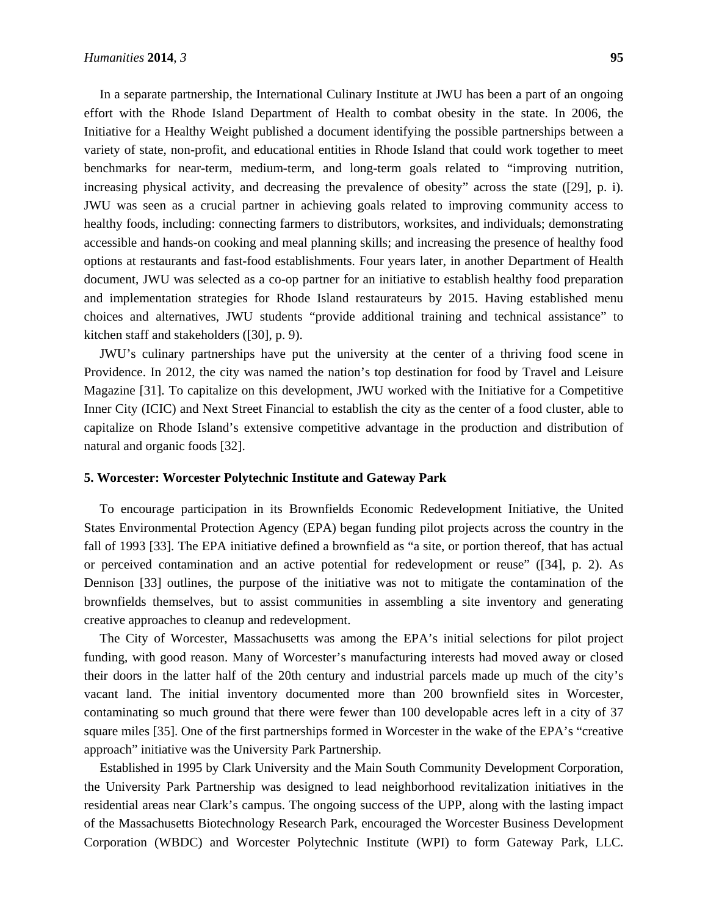In a separate partnership, the International Culinary Institute at JWU has been a part of an ongoing effort with the Rhode Island Department of Health to combat obesity in the state. In 2006, the Initiative for a Healthy Weight published a document identifying the possible partnerships between a variety of state, non-profit, and educational entities in Rhode Island that could work together to meet benchmarks for near-term, medium-term, and long-term goals related to "improving nutrition, increasing physical activity, and decreasing the prevalence of obesity" across the state ([29], p. i). JWU was seen as a crucial partner in achieving goals related to improving community access to healthy foods, including: connecting farmers to distributors, worksites, and individuals; demonstrating accessible and hands-on cooking and meal planning skills; and increasing the presence of healthy food options at restaurants and fast-food establishments. Four years later, in another Department of Health document, JWU was selected as a co-op partner for an initiative to establish healthy food preparation and implementation strategies for Rhode Island restaurateurs by 2015. Having established menu choices and alternatives, JWU students "provide additional training and technical assistance" to kitchen staff and stakeholders ([30], p. 9).

JWU's culinary partnerships have put the university at the center of a thriving food scene in Providence. In 2012, the city was named the nation's top destination for food by Travel and Leisure Magazine [31]. To capitalize on this development, JWU worked with the Initiative for a Competitive Inner City (ICIC) and Next Street Financial to establish the city as the center of a food cluster, able to capitalize on Rhode Island's extensive competitive advantage in the production and distribution of natural and organic foods [32].

#### **5. Worcester: Worcester Polytechnic Institute and Gateway Park**

To encourage participation in its Brownfields Economic Redevelopment Initiative, the United States Environmental Protection Agency (EPA) began funding pilot projects across the country in the fall of 1993 [33]. The EPA initiative defined a brownfield as "a site, or portion thereof, that has actual or perceived contamination and an active potential for redevelopment or reuse" ([34], p. 2). As Dennison [33] outlines, the purpose of the initiative was not to mitigate the contamination of the brownfields themselves, but to assist communities in assembling a site inventory and generating creative approaches to cleanup and redevelopment.

The City of Worcester, Massachusetts was among the EPA's initial selections for pilot project funding, with good reason. Many of Worcester's manufacturing interests had moved away or closed their doors in the latter half of the 20th century and industrial parcels made up much of the city's vacant land. The initial inventory documented more than 200 brownfield sites in Worcester, contaminating so much ground that there were fewer than 100 developable acres left in a city of 37 square miles [35]. One of the first partnerships formed in Worcester in the wake of the EPA's "creative approach" initiative was the University Park Partnership.

Established in 1995 by Clark University and the Main South Community Development Corporation, the University Park Partnership was designed to lead neighborhood revitalization initiatives in the residential areas near Clark's campus. The ongoing success of the UPP, along with the lasting impact of the Massachusetts Biotechnology Research Park, encouraged the Worcester Business Development Corporation (WBDC) and Worcester Polytechnic Institute (WPI) to form Gateway Park, LLC.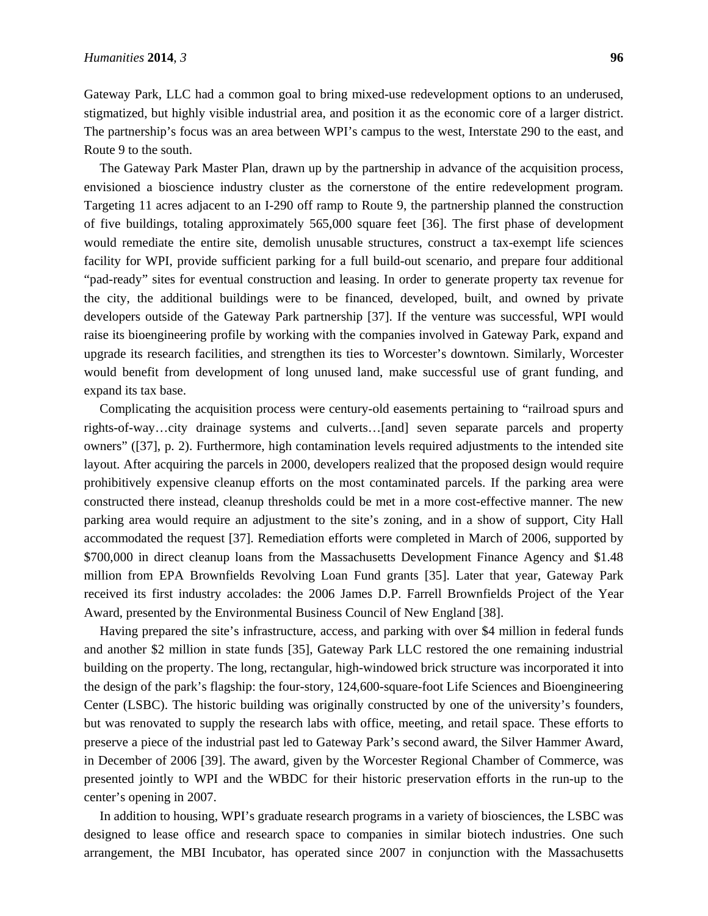Gateway Park, LLC had a common goal to bring mixed-use redevelopment options to an underused, stigmatized, but highly visible industrial area, and position it as the economic core of a larger district. The partnership's focus was an area between WPI's campus to the west, Interstate 290 to the east, and Route 9 to the south.

The Gateway Park Master Plan, drawn up by the partnership in advance of the acquisition process, envisioned a bioscience industry cluster as the cornerstone of the entire redevelopment program. Targeting 11 acres adjacent to an I-290 off ramp to Route 9, the partnership planned the construction of five buildings, totaling approximately 565,000 square feet [36]. The first phase of development would remediate the entire site, demolish unusable structures, construct a tax-exempt life sciences facility for WPI, provide sufficient parking for a full build-out scenario, and prepare four additional "pad-ready" sites for eventual construction and leasing. In order to generate property tax revenue for the city, the additional buildings were to be financed, developed, built, and owned by private developers outside of the Gateway Park partnership [37]. If the venture was successful, WPI would raise its bioengineering profile by working with the companies involved in Gateway Park, expand and upgrade its research facilities, and strengthen its ties to Worcester's downtown. Similarly, Worcester would benefit from development of long unused land, make successful use of grant funding, and expand its tax base.

Complicating the acquisition process were century-old easements pertaining to "railroad spurs and rights-of-way…city drainage systems and culverts…[and] seven separate parcels and property owners" ([37], p. 2). Furthermore, high contamination levels required adjustments to the intended site layout. After acquiring the parcels in 2000, developers realized that the proposed design would require prohibitively expensive cleanup efforts on the most contaminated parcels. If the parking area were constructed there instead, cleanup thresholds could be met in a more cost-effective manner. The new parking area would require an adjustment to the site's zoning, and in a show of support, City Hall accommodated the request [37]. Remediation efforts were completed in March of 2006, supported by \$700,000 in direct cleanup loans from the Massachusetts Development Finance Agency and \$1.48 million from EPA Brownfields Revolving Loan Fund grants [35]. Later that year, Gateway Park received its first industry accolades: the 2006 James D.P. Farrell Brownfields Project of the Year Award, presented by the Environmental Business Council of New England [38].

Having prepared the site's infrastructure, access, and parking with over \$4 million in federal funds and another \$2 million in state funds [35], Gateway Park LLC restored the one remaining industrial building on the property. The long, rectangular, high-windowed brick structure was incorporated it into the design of the park's flagship: the four-story, 124,600-square-foot Life Sciences and Bioengineering Center (LSBC). The historic building was originally constructed by one of the university's founders, but was renovated to supply the research labs with office, meeting, and retail space. These efforts to preserve a piece of the industrial past led to Gateway Park's second award, the Silver Hammer Award, in December of 2006 [39]. The award, given by the Worcester Regional Chamber of Commerce, was presented jointly to WPI and the WBDC for their historic preservation efforts in the run-up to the center's opening in 2007.

In addition to housing, WPI's graduate research programs in a variety of biosciences, the LSBC was designed to lease office and research space to companies in similar biotech industries. One such arrangement, the MBI Incubator, has operated since 2007 in conjunction with the Massachusetts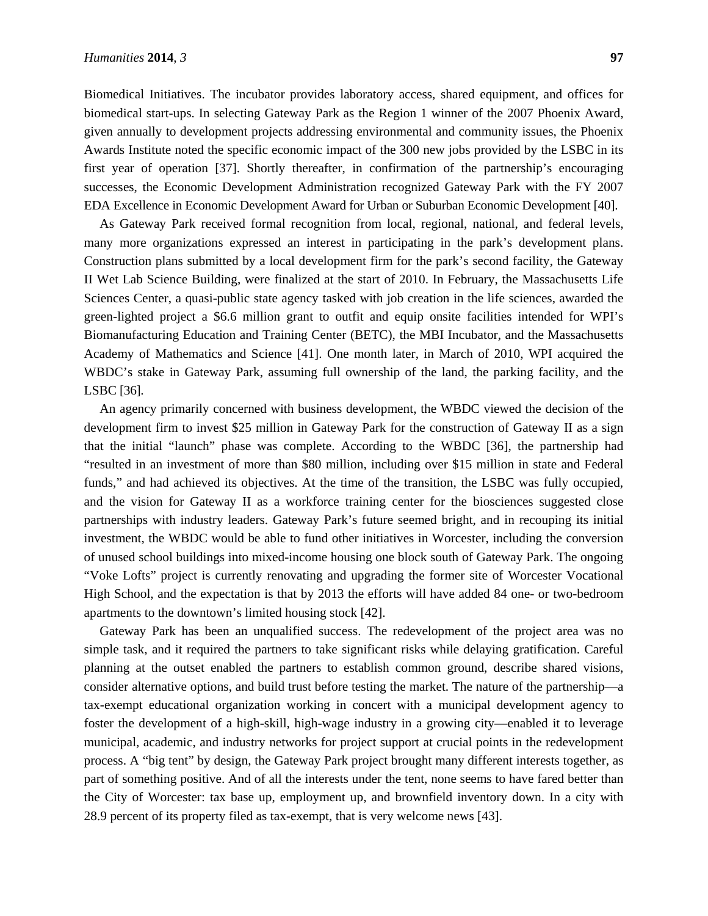Biomedical Initiatives. The incubator provides laboratory access, shared equipment, and offices for biomedical start-ups. In selecting Gateway Park as the Region 1 winner of the 2007 Phoenix Award, given annually to development projects addressing environmental and community issues, the Phoenix Awards Institute noted the specific economic impact of the 300 new jobs provided by the LSBC in its first year of operation [37]. Shortly thereafter, in confirmation of the partnership's encouraging successes, the Economic Development Administration recognized Gateway Park with the FY 2007 EDA Excellence in Economic Development Award for Urban or Suburban Economic Development [40].

As Gateway Park received formal recognition from local, regional, national, and federal levels, many more organizations expressed an interest in participating in the park's development plans. Construction plans submitted by a local development firm for the park's second facility, the Gateway II Wet Lab Science Building, were finalized at the start of 2010. In February, the Massachusetts Life Sciences Center, a quasi-public state agency tasked with job creation in the life sciences, awarded the green-lighted project a \$6.6 million grant to outfit and equip onsite facilities intended for WPI's Biomanufacturing Education and Training Center (BETC), the MBI Incubator, and the Massachusetts Academy of Mathematics and Science [41]. One month later, in March of 2010, WPI acquired the WBDC's stake in Gateway Park, assuming full ownership of the land, the parking facility, and the LSBC [36].

An agency primarily concerned with business development, the WBDC viewed the decision of the development firm to invest \$25 million in Gateway Park for the construction of Gateway II as a sign that the initial "launch" phase was complete. According to the WBDC [36], the partnership had "resulted in an investment of more than \$80 million, including over \$15 million in state and Federal funds," and had achieved its objectives. At the time of the transition, the LSBC was fully occupied, and the vision for Gateway II as a workforce training center for the biosciences suggested close partnerships with industry leaders. Gateway Park's future seemed bright, and in recouping its initial investment, the WBDC would be able to fund other initiatives in Worcester, including the conversion of unused school buildings into mixed-income housing one block south of Gateway Park. The ongoing "Voke Lofts" project is currently renovating and upgrading the former site of Worcester Vocational High School, and the expectation is that by 2013 the efforts will have added 84 one- or two-bedroom apartments to the downtown's limited housing stock [42].

Gateway Park has been an unqualified success. The redevelopment of the project area was no simple task, and it required the partners to take significant risks while delaying gratification. Careful planning at the outset enabled the partners to establish common ground, describe shared visions, consider alternative options, and build trust before testing the market. The nature of the partnership—a tax-exempt educational organization working in concert with a municipal development agency to foster the development of a high-skill, high-wage industry in a growing city—enabled it to leverage municipal, academic, and industry networks for project support at crucial points in the redevelopment process. A "big tent" by design, the Gateway Park project brought many different interests together, as part of something positive. And of all the interests under the tent, none seems to have fared better than the City of Worcester: tax base up, employment up, and brownfield inventory down. In a city with 28.9 percent of its property filed as tax-exempt, that is very welcome news [43].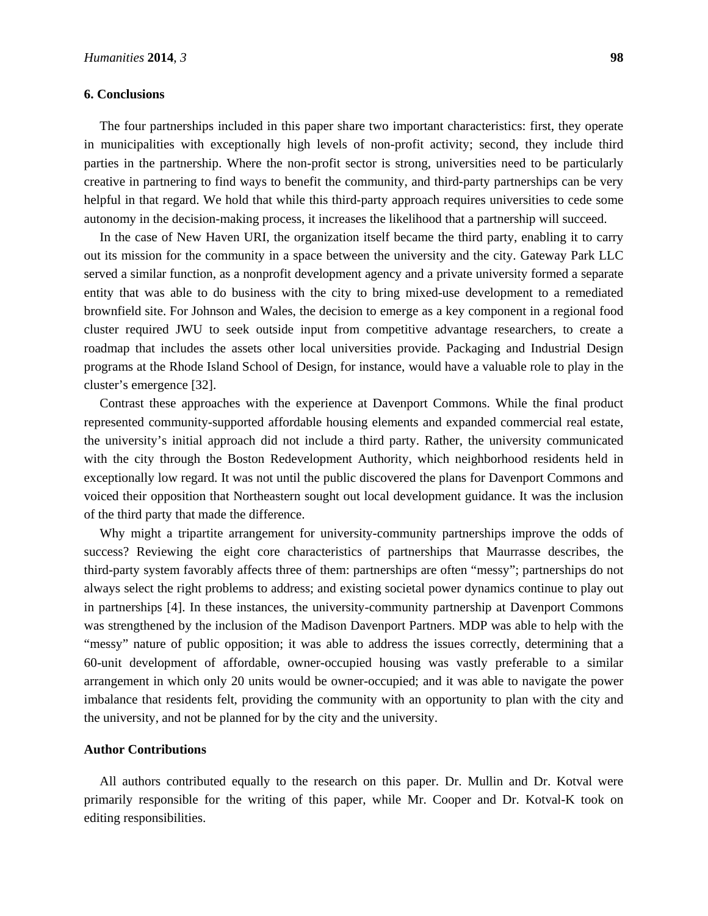#### **6. Conclusions**

The four partnerships included in this paper share two important characteristics: first, they operate in municipalities with exceptionally high levels of non-profit activity; second, they include third parties in the partnership. Where the non-profit sector is strong, universities need to be particularly creative in partnering to find ways to benefit the community, and third-party partnerships can be very helpful in that regard. We hold that while this third-party approach requires universities to cede some autonomy in the decision-making process, it increases the likelihood that a partnership will succeed.

In the case of New Haven URI, the organization itself became the third party, enabling it to carry out its mission for the community in a space between the university and the city. Gateway Park LLC served a similar function, as a nonprofit development agency and a private university formed a separate entity that was able to do business with the city to bring mixed-use development to a remediated brownfield site. For Johnson and Wales, the decision to emerge as a key component in a regional food cluster required JWU to seek outside input from competitive advantage researchers, to create a roadmap that includes the assets other local universities provide. Packaging and Industrial Design programs at the Rhode Island School of Design, for instance, would have a valuable role to play in the cluster's emergence [32].

Contrast these approaches with the experience at Davenport Commons. While the final product represented community-supported affordable housing elements and expanded commercial real estate, the university's initial approach did not include a third party. Rather, the university communicated with the city through the Boston Redevelopment Authority, which neighborhood residents held in exceptionally low regard. It was not until the public discovered the plans for Davenport Commons and voiced their opposition that Northeastern sought out local development guidance. It was the inclusion of the third party that made the difference.

Why might a tripartite arrangement for university-community partnerships improve the odds of success? Reviewing the eight core characteristics of partnerships that Maurrasse describes, the third-party system favorably affects three of them: partnerships are often "messy"; partnerships do not always select the right problems to address; and existing societal power dynamics continue to play out in partnerships [4]. In these instances, the university-community partnership at Davenport Commons was strengthened by the inclusion of the Madison Davenport Partners. MDP was able to help with the "messy" nature of public opposition; it was able to address the issues correctly, determining that a 60-unit development of affordable, owner-occupied housing was vastly preferable to a similar arrangement in which only 20 units would be owner-occupied; and it was able to navigate the power imbalance that residents felt, providing the community with an opportunity to plan with the city and the university, and not be planned for by the city and the university.

#### **Author Contributions**

All authors contributed equally to the research on this paper. Dr. Mullin and Dr. Kotval were primarily responsible for the writing of this paper, while Mr. Cooper and Dr. Kotval-K took on editing responsibilities.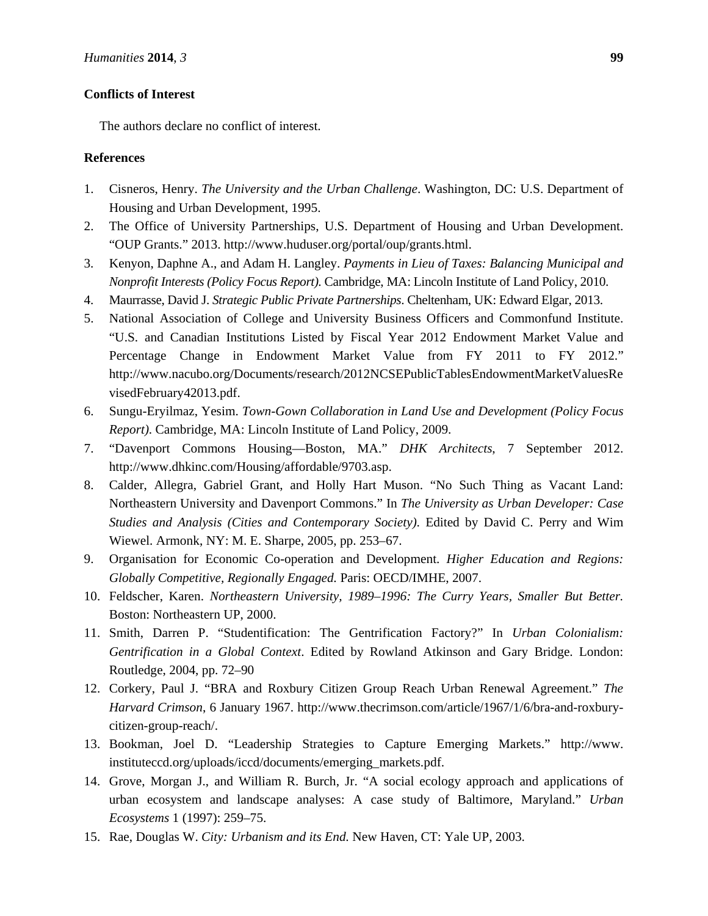#### **Conflicts of Interest**

The authors declare no conflict of interest.

#### **References**

- 1. Cisneros, Henry. *The University and the Urban Challenge*. Washington, DC: U.S. Department of Housing and Urban Development, 1995.
- 2. The Office of University Partnerships, U.S. Department of Housing and Urban Development. "OUP Grants." 2013. http://www.huduser.org/portal/oup/grants.html.
- 3. Kenyon, Daphne A., and Adam H. Langley. *Payments in Lieu of Taxes: Balancing Municipal and Nonprofit Interests (Policy Focus Report).* Cambridge, MA: Lincoln Institute of Land Policy, 2010.
- 4. Maurrasse, David J. *Strategic Public Private Partnerships*. Cheltenham, UK: Edward Elgar, 2013.
- 5. National Association of College and University Business Officers and Commonfund Institute. "U.S. and Canadian Institutions Listed by Fiscal Year 2012 Endowment Market Value and Percentage Change in Endowment Market Value from FY 2011 to FY 2012." http://www.nacubo.org/Documents/research/2012NCSEPublicTablesEndowmentMarketValuesRe visedFebruary42013.pdf.
- 6. Sungu-Eryilmaz, Yesim. *Town-Gown Collaboration in Land Use and Development (Policy Focus Report)*. Cambridge, MA: Lincoln Institute of Land Policy, 2009.
- 7. "Davenport Commons Housing—Boston, MA." *DHK Architects*, 7 September 2012. http://www.dhkinc.com/Housing/affordable/9703.asp.
- 8. Calder, Allegra, Gabriel Grant, and Holly Hart Muson. "No Such Thing as Vacant Land: Northeastern University and Davenport Commons." In *The University as Urban Developer: Case Studies and Analysis (Cities and Contemporary Society)*. Edited by David C. Perry and Wim Wiewel. Armonk, NY: M. E. Sharpe, 2005, pp. 253–67.
- 9. Organisation for Economic Co-operation and Development. *Higher Education and Regions: Globally Competitive, Regionally Engaged.* Paris: OECD/IMHE, 2007.
- 10. Feldscher, Karen. *Northeastern University, 1989–1996: The Curry Years, Smaller But Better.* Boston: Northeastern UP, 2000.
- 11. Smith, Darren P. "Studentification: The Gentrification Factory?" In *Urban Colonialism: Gentrification in a Global Context*. Edited by Rowland Atkinson and Gary Bridge. London: Routledge, 2004, pp. 72–90
- 12. Corkery, Paul J. "BRA and Roxbury Citizen Group Reach Urban Renewal Agreement." *The Harvard Crimson*, 6 January 1967. http://www.thecrimson.com/article/1967/1/6/bra-and-roxburycitizen-group-reach/.
- 13. Bookman, Joel D. "Leadership Strategies to Capture Emerging Markets." http://www. instituteccd.org/uploads/iccd/documents/emerging\_markets.pdf.
- 14. Grove, Morgan J., and William R. Burch, Jr. "A social ecology approach and applications of urban ecosystem and landscape analyses: A case study of Baltimore, Maryland." *Urban Ecosystems* 1 (1997): 259–75.
- 15. Rae, Douglas W. *City: Urbanism and its End.* New Haven, CT: Yale UP, 2003.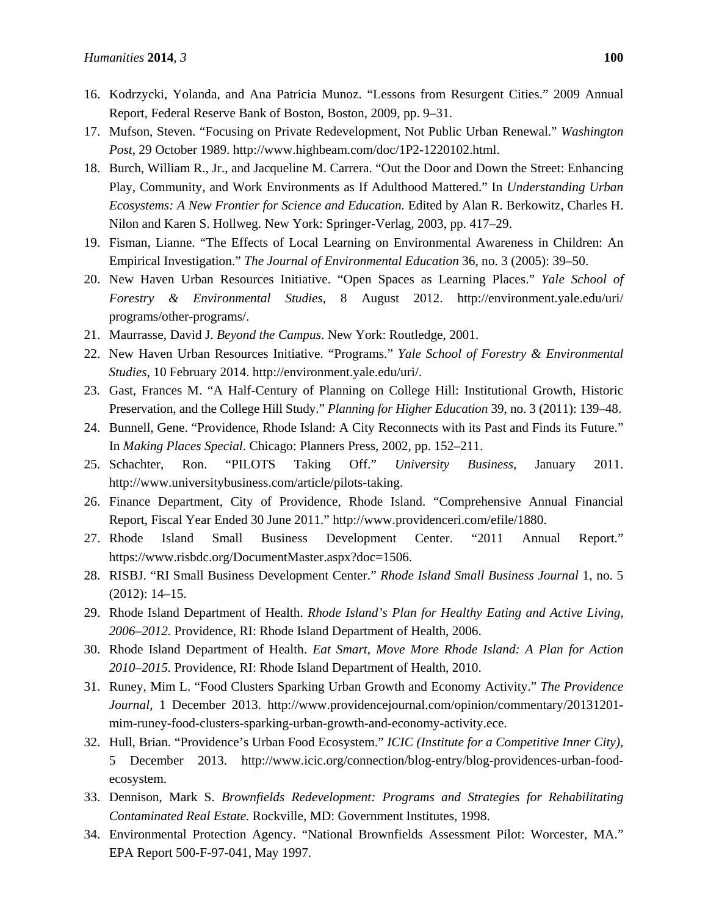- 16. Kodrzycki, Yolanda, and Ana Patricia Munoz. "Lessons from Resurgent Cities." 2009 Annual Report, Federal Reserve Bank of Boston, Boston, 2009, pp. 9–31.
- 17. Mufson, Steven. "Focusing on Private Redevelopment, Not Public Urban Renewal." *Washington Post*, 29 October 1989. http://www.highbeam.com/doc/1P2-1220102.html.
- 18. Burch, William R., Jr., and Jacqueline M. Carrera. "Out the Door and Down the Street: Enhancing Play, Community, and Work Environments as If Adulthood Mattered." In *Understanding Urban Ecosystems: A New Frontier for Science and Education.* Edited by Alan R. Berkowitz, Charles H. Nilon and Karen S. Hollweg. New York: Springer-Verlag, 2003, pp. 417–29.
- 19. Fisman, Lianne. "The Effects of Local Learning on Environmental Awareness in Children: An Empirical Investigation." *The Journal of Environmental Education* 36, no. 3 (2005): 39–50.
- 20. New Haven Urban Resources Initiative. "Open Spaces as Learning Places." *Yale School of Forestry & Environmental Studies*, 8 August 2012. http://environment.yale.edu/uri/ programs/other-programs/.
- 21. Maurrasse, David J. *Beyond the Campus*. New York: Routledge, 2001.
- 22. New Haven Urban Resources Initiative. "Programs." *Yale School of Forestry & Environmental Studies*, 10 February 2014. http://environment.yale.edu/uri/.
- 23. Gast, Frances M. "A Half-Century of Planning on College Hill: Institutional Growth, Historic Preservation, and the College Hill Study." *Planning for Higher Education* 39, no. 3 (2011): 139–48.
- 24. Bunnell, Gene. "Providence, Rhode Island: A City Reconnects with its Past and Finds its Future." In *Making Places Special*. Chicago: Planners Press, 2002, pp. 152–211.
- 25. Schachter, Ron. "PILOTS Taking Off." *University Business*, January 2011. http://www.universitybusiness.com/article/pilots-taking.
- 26. Finance Department, City of Providence, Rhode Island. "Comprehensive Annual Financial Report, Fiscal Year Ended 30 June 2011." http://www.providenceri.com/efile/1880.
- 27. Rhode Island Small Business Development Center. "2011 Annual Report." https://www.risbdc.org/DocumentMaster.aspx?doc=1506.
- 28. RISBJ. "RI Small Business Development Center." *Rhode Island Small Business Journal* 1, no. 5 (2012): 14–15.
- 29. Rhode Island Department of Health. *Rhode Island's Plan for Healthy Eating and Active Living, 2006–2012.* Providence, RI: Rhode Island Department of Health, 2006.
- 30. Rhode Island Department of Health. *Eat Smart, Move More Rhode Island: A Plan for Action 2010–2015.* Providence, RI: Rhode Island Department of Health, 2010.
- 31. Runey, Mim L. "Food Clusters Sparking Urban Growth and Economy Activity." *The Providence Journal,* 1 December 2013. http://www.providencejournal.com/opinion/commentary/20131201 mim-runey-food-clusters-sparking-urban-growth-and-economy-activity.ece.
- 32. Hull, Brian. "Providence's Urban Food Ecosystem." *ICIC (Institute for a Competitive Inner City)*, 5 December 2013. http://www.icic.org/connection/blog-entry/blog-providences-urban-foodecosystem.
- 33. Dennison, Mark S. *Brownfields Redevelopment: Programs and Strategies for Rehabilitating Contaminated Real Estate.* Rockville, MD: Government Institutes, 1998.
- 34. Environmental Protection Agency. "National Brownfields Assessment Pilot: Worcester, MA." EPA Report 500-F-97-041, May 1997.